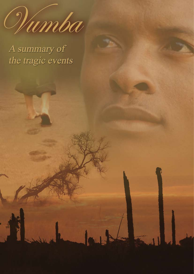

A summary of the tragic events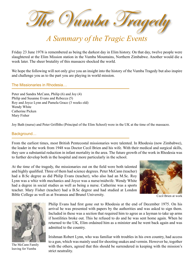

# *A Summary of the Tragic Events*

Friday 23 June 1978 is remembered as being the darkest day in Elim history. On that day, twelve people were slaughtered at the Elim Mission station in the Vumba Mountains, Northern Zimbabwe. Another would die a week later. The sheer brutality of this massacre shocked the world.

We hope the following will not only give you an insight into the history of the Vumba Tragedy but also inspire and challenge you as to the part you are playing in world mission.

# The Missionaries in Rhodesia…

Peter and Sandra McCann, Philip (6) and Joy (4) Philip and Susanne Evans and Rebecca (5) Roy and Joyce Lynn and Pamela Grace (3 weeks old) Wendy White Catherine Picken Mary Fisher

Joy Bath (nurse) and Peter Griffiths (Principal of the Elim School) were in the UK at the time of the massacre.

# Background…

From the earliest times, most British Pentecostal missionaries were talented. In Rhodesia (now Zimbabwe), the leader in the work from 1948 was Doctor Cecil Brien and his wife. With their medical and surgical skills, they saw a substantial reduction in infant mortality in the area. The future growth of the work in Rhodesia was to further develop both in the hospital and more particularly in the school.

At the time of the tragedy, the missionaries out on the field were both talented and highly qualified. Three of them had science degrees. Peter McCann (teacher) had a B.Sc degree as did Philip Evans (teacher), who also had an M.Sc. Roy Lynn was a whiz with mechanics and Joyce was a nurse/midwife. Wendy White had a degree in social studies as well as being a nurse. Catherine was a sports teacher. Mary Fisher (teacher) had a B.Sc degree and had studied at London Bible College as well as at Swansea and Brunel University.



Cecil Brien at work



The McCann Family leaving for Vumba

Philip Evans had first gone out to Rhodesia at the end of December 1975. On his arrival he was presented with papers by the authorities and was asked to sign them. Included in these was a section that required him to agree as a layman to take up arms if hostilities broke out. This he refused to do and he was sent home again. When he returned to the UK, Elim ordained him as a minister and he went back again and was admitted to the country.

Irishman Robert Lynn, who was familiar with troubles in his own country, had access to a gun, which was mainly used for shooting snakes and vermin. However he, together with the others, agreed that this should be surrendered in keeping with the mission's strict neutrality.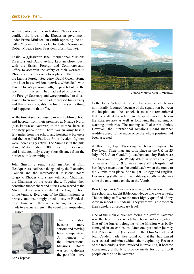At this particular time in history, Rhodesia was in conflict; the forces of the Rhodesian government under Prime Minister Ian Smith opposing the socalled "liberation" forces led by Joshua Nkomo and Robert Mugabe (now President of Zimbabwe).

Leslie Wigglesworth (the International Missions Director) and David Ayling kept in close touch with the British Foreign and Commonwealth Office to ascertain the safety of their workers in Rhodesia. One interview took place in the office of the Labour Foreign Secretary, David Owen. Some time later in a television interview which dealt with David Owen's personal faith, he paid tribute to the two Elim ministers. They had asked to pray with the Foreign Secretary and were permitted to do so. David Owen said that it had impressed him greatly and that it was probably the first time such a thing had happened in that office!

At the time it seemed wise to move the Elim School and hospital from their premises at Nyanga North (also known as Katerere) to the Vumba, because of safety precautions. There was an army base a few miles from the school and hospital at Katerere and the so-called Patriotic Front freedom fighters were increasingly active. The Vumba is in the hills above Mutare, about 100 miles from Katerere, and is situated only a very short distance from the border with Mozambique.

John Smyth, a senior staff member at Elim Headquarters, had been delegated by the Executive Council and the International Missions Board to go to Rhodesia to share with Ron Chapman, the Chairman of the work there. Together they consulted the teachers and nurses who served at the Mission at Katerere and also at the Eagle School in the Vumba. Every one of the Elim missionaries bravely and unstintingly opted to stay in Rhodesia to continue with their work. Arrangements were made to evacuate them in the event of an impending disaster.



Ron Chapman

The situation became more serious and moving became imperative. A member of the International Missions Board was sent to discuss the possible move



Vumba Mountains in Zimbabwe

to the Eagle School at the Vumba, a move which was not initially favoured because of the separation between the hospital and the school. It must be remembered that the staff at the school and hospital ran churches in the Katerere area as well as following their nursing or teaching ministries. The nursing staff also ran clinics. However, the International Missions Board member readily agreed to the move once the whole position had been assessed.

At this time, Joyce Pickering had become engaged to Roy Lynn. Their marriage took place in the UK on 23 July 1977. Joan Caudell (a teacher) and Joy Bath were due to go on furlough. Wendy White, who was due to go on leave on 3 July 1978, was a nurse at the hospital, but her degree meant that she could teach when the move to the Vumba took place. She taught Biology and English. Her nursing skills were invaluable especially as she was to be the only nurse on site at the Vumba.

Ron Chapman (Chairman) was regularly in touch with the school and taught Bible Knowledge two days a week. The teaching staff were the most highly qualified of any African school in Rhodesia. They were well able to teach their scholars at secondary level.

One of the main challenges facing the staff at Katerere was the land mines which had been laid everywhere. One of the lorries belonging to the Mission was badly damaged in an explosion. After one particular journey that Peter Griffiths (Principal of the Elim School) and Joan Caudell made, they found out that they had passed over several land mines without them exploding! Because of the tremendous risks involved in travelling, it became increasingly difficult to provide meals for up to 1,000 people on the site in Katerere.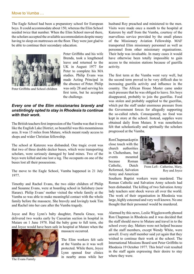The Eagle School had been a preparatory school for European boys. It could accommodate about 150, whereas the Elim School needed twice that number. When the Elim School moved there, the scholars accepted the available accommodation despite many having to sleep on mattresses on the floor. They were just glad to be able to continue their secondary education.



Peter Griffiths and School children

Peter Griffiths and his wife Brenda, took a lengthened leave and returned to the UK in August 1977 for Peter to complete his MA studies. Philip Evans was made Acting Principal in the absence of Peter. Philip was only 28 and serving his first term, but he accepted the challenge.

# *Every one of the Elim missionaries bravely and unstintingly opted to stay in Rhodesia to continue with their work.*

The British teachers first impression of the Vumba was that it was like the English Lake District, so beautiful was this mountainous area. It was 15 miles from Mutare, which meant ready access to shops and wider Christian fellowship.

The school at Katerere was disbanded. One tragic event was that two of three double decker buses, which were transporting scholars, were seriously damaged by land mines. Two of the boys were killed and one lost a leg. The occupants on one of the buses lost all their possessions.

The move to the Eagle School, Vumba happened in 21 July 1977.

Timothy and Rachel Evans, the two older children of Philip and Susanne Evans, were at boarding school in Salisbury (now Harare). Philip Evans' mother visited the whole family at the Vumba so was able to make meaningful contact with the whole family before the massacre. She bravely and lovingly took Tim and Rachel into her care after the Vumba tragedy.

Joyce and Roy Lynn's baby daughter, Pamela Grace, was delivered two weeks early by Caesarian section in hospital in Mutare on 1 June 1978. Had the baby gone to full term, she and Joyce would have been safe in hospital at Mutare when the



The Evans Family

massacre occurred.

The Elim workers felt safe at the Vumba as it was well protected. While there, Joyce Lynn opened four clinics in nearby areas while her

husband Roy preached and ministered to the men. Visits were made once a month to the hospital at Katerere by staff from the Vumba, courtesy of the marvellous service provided by the small planes of the Missionary Aviation Fellowship. MAF transported Elim missionary personnel as well as personnel from other missionary organisations. Their help was invaluable. In many cases it would have otherwise been totally impossible to gain access to the mission stations because of guerilla activity.

The first term at the Vumba went very well, but the second term proved to be very difficult due to increasing guerilla activity and influence in the country. The African House Master came under such pressure that he was obliged to leave. Six boys disappeared, probably to join the guerillas. Food was stolen and probably supplied to the guerillas, which put the staff under enormous pressure from the Government forces for allegedly supporting the so-called rebels. Consequently, no food was kept in store at the school. Instead, supplies were obtained daily from Mutare. It was nonetheless felt that scholastically and spiritually the scholars progressed at the Vumba.

Ron Chapman kept in close touch with the church authorities in Cheltenham, but events mounted because Roman Catholic, Dutch Reformed, Salvation Army and American



From Left - Catherine, Mary, Roy and Joyce

Southern Baptist workers were murdered. The Roman Catholic and Salvation Army schools had been disbanded. The killing of two Salvation Army lady teachers sent shock waves all over the world. The work of their organisation in Rhodesia was large, highly esteemed and very well known. No one thought that their personnel would be murdered.

Alarmed by this news, Leslie Wigglesworth phoned Ron Chapman in Rhodesia and it was decided that the staff should move to Mutare and travel in to the school every day. Matters were not helped because all the staff members, except Wendy White, were unwell. Every staff member said yet again that they wished to continue their work at the school. The International Missions Board sent Peter Griffiths to Rhodesia 19 October 1977. This brief visit resulted in the staff again expressing their desire to stay where they were.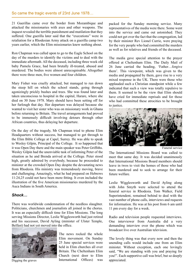21 Guerillas came over the border from Mozambique and attacked the missionaries with axes and other weapons. The inquest revealed the terrible punishment and mutilation that they suffered. One guerilla later said that the "executions" were in retaliation for a Rhodesian Army attack on a guerilla camp two years earlier, which the Elim missionaries knew nothing about.

Ron Chapman was called upon to go to the Eagle School on the day of the murders to identify the victims and to deal with the immediate aftermath. All the deceased, including three week old baby Pamela Grace, had been brutally ill-treated, abused and murdered. The bodies were almost unrecognisable. Altogether there were three men, five women and four children.

Mary Fisher was cruelly attacked, but managed to run down the steep hill on which the school stands, going through agonizingly prickly bushes and trees. She was found later and taken unconscious to hospital in the capital, Harare, where she died on 30 June 1978. Mary should have been setting off for her furlough that day. Her departure was delayed because she wanted to visit her sister who was on missionary work in Ghana before returning to Britain. The travel arrangements had proved to be immensely difficult involving detours through other African countries, thus delaying her departure.

On the day of the tragedy, Mr Chapman tried to phone Elim Headquarters without success, but managed to get through to the Elim Bible College at Capel, Surrey. He was able to speak to Wesley Gilpin, Principal of the College. It so happened that it was Open Day there and the main speaker was Peter Griffiths. Wesley Gilpin had the unenviable task of informing Peter of the situation as he and Brenda arrived at the College. Peter stood high, greatly admired by everybody, because he proceeded to minister at the crowded Open Day despite the devastating news from Rhodesia. His ministry was tremendously moving, brave and challenging. Amazingly, what he had prepared on Hebrews 11:24,25 could not have been more fitting. It even included the illustration of the five American missionaries murdered by the Auca Indians in South America.

## *Shock…*

There was worldwide condemnation of the needless slaughter. Politicians, churchmen and journalists all joined in the chorus. It was an especially difficult time for Elim Missions. The long serving Missions Director, Leslie Wigglesworth had just retired and his successor, David Ayling (minister of Ulster Temple, Belfast) had not yet moved into the office.



The news rocked the whole Elim movement. On Sunday 25 June special services were held in Elim churches all over Britain. The Cheltenham Elim Church (next door to Elim Digging the graves **International** Offices) was appreciated.

packed for the Sunday morning service. Many representatives of the media were there. Some went into the service and came out astonished. They could not get over the fact that the congregation, led by their minister Rev Lionel Currie, were praying for the very people who had committed the murders as well as for relatives and friends of the deceased.

The media gave special attention to the prayer offered at Cheltenham Elim. The Daily Mail of 26 June carried the heading, 'Father…forgive them'. This viewpoint, which was given to the media and propagated by them, gave rise to a very mixed response in the UK. There were those who applauded such a Christian standpoint while a few indicated that such a view was totally repulsive to them. It seemed to be the view that Elim should have cried for immediate reprisals and for those who had committed these atrocities to be brought to justice.



Funeral service

The International Missions Board was called to meet that same day. It was decided unanimously that International Missions Board members should leave in twos to visit the homes of those who had been murdered and to seek to arrange for their future welfare.

Leslie Wigglesworth and David Ayling along with John Smyth were selected to attend the funeral service in Rhodesia. Tom Walker, Field Superintendent, remained behind to deal with the vast number of phone calls, interviews and requests for information. He was at his post from 6 am until 11 pm every day for a week.

Radio and television people requested interviews. One interviewer from Australia did a very demanding interview over the phone which was broadcast live over Australian television.

The lovely thing was that every now and then the unending calls would include one from an Elim minister. Without exception, each one lovingly said, "We are standing with you and praying for you!". Each supportive call was brief, but so deeply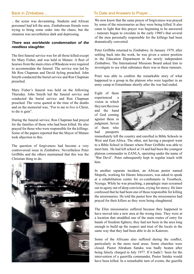.. the scene was devastating. Students and African personnel had left the area. Zimbabwean friends were trying to bring some order into the chaos, but the situation was nevertheless dark and depressing.

#### *There was worldwide condemnation of the needless slaughter.*

The first funeral service was for all those killed except for Mary Fisher, and was held in Mutare. A fleet of hearses from the main cities of Rhodesia were required to accommodate the funeral. The service was led by Mr Ron Chapman and David Ayling preached. John Smyth conducted the burial service and Ron Chapman preached.

Mary Fisher's funeral was held on the following Thursday. John Smyth led the funeral service and conducted the burial service and Ron Chapman preached. The verse quoted at the time of the deaths and on the memorial was, "For to me to live is Christ, to die is gain".

During the funeral service, Ron Chapman had prayed for the families of those who had been killed. He also prayed for those who were responsible for the killings. Some of the papers reported that the Mayor of Mutare took objection to this.

The question of forgiveness had become a very controversial issue in Zimbabwe. Nevertheless Peter Griffiths and the others maintained that this was the Christian thing to do.



#### Back in Zimbabwe… To Date and Answers to Prayer...

We now know that the same prayer of forgiveness was prayed by some of the missionaries as they were being killed. It also came to light that this prayer was beginning to be answered - rumours began to circulate in the early 1980's that several of the men personally responsible for the killings had been dramatically converted.

Peter Griffiths returned to Zimbabwe. In January 1979, after settling back into the work, he was given a senior position in the Education Department in the newly independent Zimbabwe. The International Missions Board asked him to investigate to see what substance there was in these rumours.

Peter was able to confirm the remarkable story of what happened to a group in the platoon who were together in an army camp in Entumbane shortly after the war had ended.

Eight of them experienced a vision in which they saw the cross and the hand of God coming against them in judgment. Seven of them who had passports



immediately left the country and enrolled in Bible Schools in West and East Africa. The other, not having a passport went to a Bible School in Harare where Peter Griffiths was able to meet him. He had left school at 14 and had been the youngest platoon commander in ZANLA, operating under the name of 'War Devil'. Peter subsequently kept in regular touch with him.

In another separate incident, an African pastor named Mopofu, working for Harare Intecessors, was asked to speak at a rehabilitation centre for ex-combatants in Troutbeck, Nyenga. While he was preaching, a paraplegic man screamed out in agony out of deep conviction, crying for mercy. He later confessed that he had been one of those responsible for killing the missionaries. He told the pastor how the missionaries had prayed for their killers as they were being slaughtered.

The Elim missionaries suffered because they happened to have moved into a new area at the wrong time. They were at a location that straddled one of the main routes of entry for bands of freedom fighters; they had not been in the area long enough to build up the respect and trust of the locals in the same way that they had been able to do in Katerere.

Some of the Africans also suffered during the conflict, particularly in the more rural areas. Some churches were closed. Pastor Abraham Satuku was badly beaten after being falsely charged in July 1977. If it hadn't been for the intervention of a guerrilla commander, Pastor Satuku would have been killed. In a remarkable turn of events, the guerilla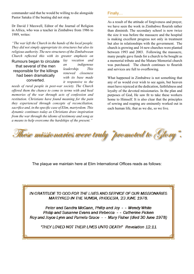commander said that he would be willing to die alongside Pastor Satuku if the beating did not stop.

Dr David J Maxwell, Editor of the Journal of Religion in Africa, who was a teacher in Zimbabwe from 1986 to 1989, writes:

*"The war left the Church in the hands of the local people. They did not simply appropriate its structures but also its religious authority. The new structures of the Zimbabwean Church reflected this with its greater emphasis on* 

Rumours began to circulate that several of the men responsible for the killings had been dramatically converted.

*lay vocation and an indigenous leadership. This renewed closeness with its base made it responsive to the* 

*needs of rural people in post-war society. The Church offered them the chance to come to terms with and heal memories of the war through acts of confession and restitution. Christians have found meaning for the pain they experienced through concepts of reconciliation, sacrifice and, in the specific case of Elim, martyrdom. This dynamic continues today as Christians draw inspiration from the war through the idioms of testimony and song as a means to help overcome the hardships of the present."* 

# Finally…

As a result of the attitude of forgiveness and prayer, we have seen the work in Zimbabwe flourish rather than diminish. The secondary school is now twice the size it was before the massacre and the hospital is making excellent progress not only in treatment but also in relationships with the government. The church is growing and 16 new churches were planted between 1993 and 2003. Following the massacre, many people gave funds for a church to be bought as a memorial tribute and the Mutare Memorial church was purchased. The church continues to flourish and services are full to overflowing.

What happened in Zimbabwe is not something that any of us would ever wish to see again, but heaven must have rejoiced at the dedication, faithfulness and loyalty of the devoted missionaries. In the plan and purposes of God, He saw fit to take these workers home to Himself. It is also clear that the principles of sowing and reaping are eminently worked out in each human life, that as we die, so we live.

These missionaries were truly "promoted to Glory".

The plaque we maintain here at Elim International Offices reads as follows:

IN GRATITUDE TO GOD FOR THE LIVES AND SERVICE OF OUR MISSIONARIES MARTYRED IN THE VUMBA, RHODESIA, 23 JUNE 1978.

Peter and Sandra McCann, Philip and Joy - - Wendy White Philip and Susanne Evans and Rebecca - - Catherine Picken Roy and Joyce Lynn and Pamela Grace - - Mary Fisher (died 30 June 1978)

"THEY LOVED NOT THEIR LIVES UNTO DEATH" Revelation 12:11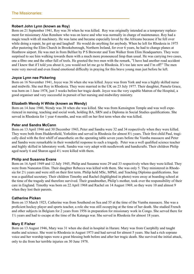# **Robert John Lynn (known as Roy)**

Born on 21 September 1941, Roy was 36 when he was killed. Roy was originally intended as a temporary replacement for missionary Alan Renshaw who was on leave and who was normally in charge of maintenance. Roy had a magic touch with all machinery. He was lame and became especially loved by the Africans because if he fell over while doing a repair, he got up and laughed! He would do anything for anybody. When he left for Rhodesia in 1975 after pastoring the Elim Church in Brookeborough, Northern Ireland, for over 6 years, he had to change planes at Heathrow airport. He was met in from Belfast by P S Brewster and Tom Walker from Elim Headquarters. They were surprised to see him walking towards them with a much more pronounced limp than usual. He was carrying two cases, one a fibre one and the other full of tools. He greeted the two men with the remark, "I have had another road accident and I knew that if I told you about it, you would not let me go to Rhodesia. It's too late now and I'm off!" The men were very moved and even found emotional difficulty in praying for this brave young man just before he left.

### **Joyce Lynn nee Pickering**

Born on 16 November 1941, Joyce was 36 when she was killed. Joyce was from York and was a highly skilled nurse and midwife. She met Roy in Rhodesia. They were married in the UK on 23 July 1977. Their daughter, Pamela Grace, was born on 1 June 1978, just 3 weeks before her tragic death. Joyce was the very capable Matron of the Hospital, a good organiser and very successful in pursuit of her nursing and midwifery ministry.

# **Elizabeth Wendy H White (known as Wendy)**

Born on 14 June 1940, Wendy was 38 when she was killed. She was from Kensington Temple and was well experienced in nursing, teaching and social work, holding BA, SRN and a Diploma in Social Studies qualifications. She served in Rhodesia for 1 year 4 months, and was still on her first term when she was killed.

### **Peter and Sandra McCann**

Born on 13 April 1946 and 30 December 1943, Peter and Sandra were 32 and 34 respectively when they were killed. They were both from Huddersfield, Yorkshire and served in Rhodesia for almost 8½ years. Their first child Paul, tragically died with the first whiff of anaesthetic on the operating table seven years before the Vumba massacre and Peter and Sandra were remarkable in their wonderful response to such a tragedy. Peter was a well qualified science teacher and highly skilled in laboratory work. Sandra was very adept with needlework and handicrafts. Their children Philip aged nearly 6 and Sharon aged 4½ were killed with them.

### **Philip and Susanna Evans**

Born on 16 April 1949 and 12 July 1945, Philip and Susanna were 29 and 33 respectively when they were killed. They were from Nuneaton Elim. Their daughter Rebecca was killed with them. She was only 5. They ministered in Rhodesia for 2½ years and were still on their first term. Philip held MSc, MPhil, and Teaching Diploma qualifications. Sue was a qualified secretary. Their children Timothy and Rachel (highlighted in photo) were away at boarding school at the time of the tragedy and therefore survived. Their grandmother, Philip's mother, took over the responsibility of their care in England. Timothy was born on 22 April 1968 and Rachel on 14 August 1969, so they were 10 and almost 9 when they lost their parents.

### **Catherine Picken**

Born on 15 March 1923, Catherine was from Southend on Sea and 55 at the time of the Vumba massacre. She was a proficient hockey player and sports teacher, a role she was still occupying at the time of her death. She studied French and other subjects in Belgium for 2 years from 1956 in preparation for missionary work in Congo. She served there for 1½ years and had to escape at the time of the Katanga war. She served in Rhodesia for almost 18 years.

### **Mary E Fisher**

Born on 13 August 1946, Mary was 31 when she died in hospital in Harare. Mary was from Caerphilly and taught maths and science. She went to Rhodesia in August 1973 and had served for almost 5 years. She had a rich soprano voice and her worship tapes were a great blessing both before and after her tragic death. She survived the initial attack, only to die from her terrible injuries on 30 June 1978.